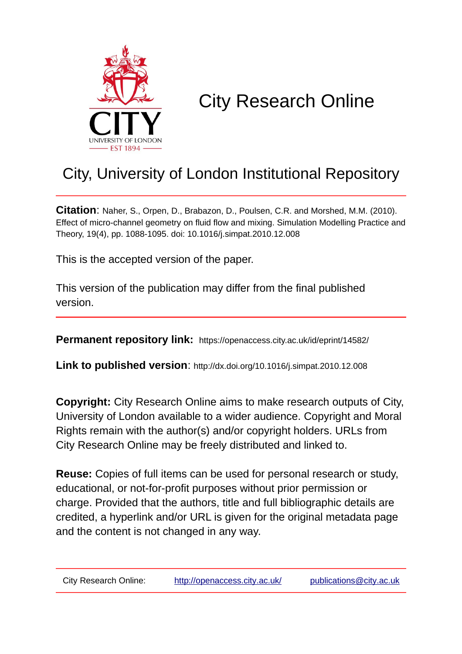

# City Research Online

# City, University of London Institutional Repository

**Citation**: Naher, S., Orpen, D., Brabazon, D., Poulsen, C.R. and Morshed, M.M. (2010). Effect of micro-channel geometry on fluid flow and mixing. Simulation Modelling Practice and Theory, 19(4), pp. 1088-1095. doi: 10.1016/j.simpat.2010.12.008

This is the accepted version of the paper.

This version of the publication may differ from the final published version.

**Permanent repository link:** https://openaccess.city.ac.uk/id/eprint/14582/

**Link to published version**: http://dx.doi.org/10.1016/j.simpat.2010.12.008

**Copyright:** City Research Online aims to make research outputs of City, University of London available to a wider audience. Copyright and Moral Rights remain with the author(s) and/or copyright holders. URLs from City Research Online may be freely distributed and linked to.

**Reuse:** Copies of full items can be used for personal research or study, educational, or not-for-profit purposes without prior permission or charge. Provided that the authors, title and full bibliographic details are credited, a hyperlink and/or URL is given for the original metadata page and the content is not changed in any way.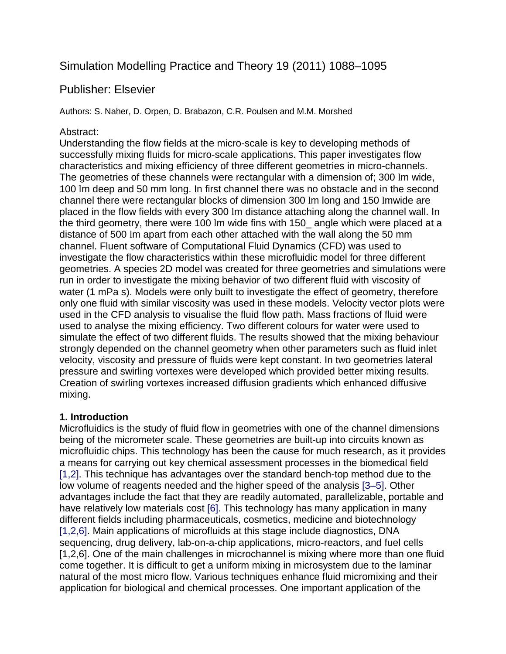## Simulation Modelling Practice and Theory 19 (2011) 1088–1095

### Publisher: Elsevier

Authors: S. Naher, D. Orpen, D. Brabazon, C.R. Poulsen and M.M. Morshed

#### Abstract:

Understanding the flow fields at the micro-scale is key to developing methods of successfully mixing fluids for micro-scale applications. This paper investigates flow characteristics and mixing efficiency of three different geometries in micro-channels. The geometries of these channels were rectangular with a dimension of; 300 lm wide, 100 lm deep and 50 mm long. In first channel there was no obstacle and in the second channel there were rectangular blocks of dimension 300 lm long and 150 lmwide are placed in the flow fields with every 300 lm distance attaching along the channel wall. In the third geometry, there were 100 lm wide fins with 150\_ angle which were placed at a distance of 500 lm apart from each other attached with the wall along the 50 mm channel. Fluent software of Computational Fluid Dynamics (CFD) was used to investigate the flow characteristics within these microfluidic model for three different geometries. A species 2D model was created for three geometries and simulations were run in order to investigate the mixing behavior of two different fluid with viscosity of water (1 mPa s). Models were only built to investigate the effect of geometry, therefore only one fluid with similar viscosity was used in these models. Velocity vector plots were used in the CFD analysis to visualise the fluid flow path. Mass fractions of fluid were used to analyse the mixing efficiency. Two different colours for water were used to simulate the effect of two different fluids. The results showed that the mixing behaviour strongly depended on the channel geometry when other parameters such as fluid inlet velocity, viscosity and pressure of fluids were kept constant. In two geometries lateral pressure and swirling vortexes were developed which provided better mixing results. Creation of swirling vortexes increased diffusion gradients which enhanced diffusive mixing.

#### **1. Introduction**

Microfluidics is the study of fluid flow in geometries with one of the channel dimensions being of the micrometer scale. These geometries are built-up into circuits known as microfluidic chips. This technology has been the cause for much research, as it provides a means for carrying out key chemical assessment processes in the biomedical field [1,2]. This technique has advantages over the standard bench-top method due to the low volume of reagents needed and the higher speed of the analysis [3–5]. Other advantages include the fact that they are readily automated, parallelizable, portable and have relatively low materials cost [6]. This technology has many application in many different fields including pharmaceuticals, cosmetics, medicine and biotechnology [1,2,6]. Main applications of microfluids at this stage include diagnostics, DNA sequencing, drug delivery, lab-on-a-chip applications, micro-reactors, and fuel cells [1,2,6]. One of the main challenges in microchannel is mixing where more than one fluid come together. It is difficult to get a uniform mixing in microsystem due to the laminar natural of the most micro flow. Various techniques enhance fluid micromixing and their application for biological and chemical processes. One important application of the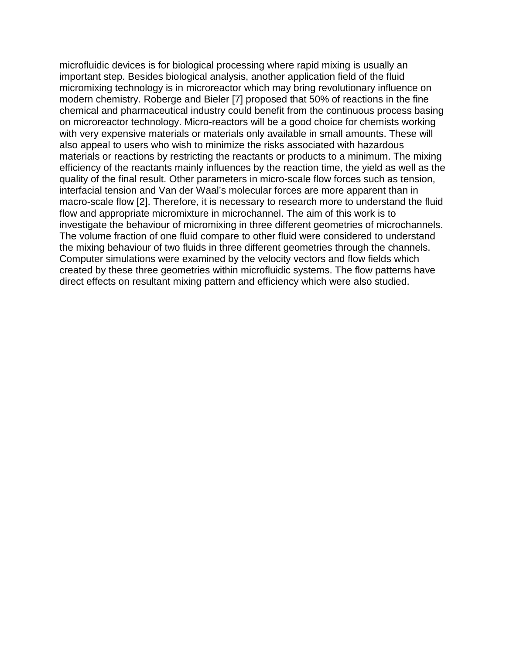microfluidic devices is for biological processing where rapid mixing is usually an important step. Besides biological analysis, another application field of the fluid micromixing technology is in microreactor which may bring revolutionary influence on modern chemistry. Roberge and Bieler [7] proposed that 50% of reactions in the fine chemical and pharmaceutical industry could benefit from the continuous process basing on microreactor technology. Micro-reactors will be a good choice for chemists working with very expensive materials or materials only available in small amounts. These will also appeal to users who wish to minimize the risks associated with hazardous materials or reactions by restricting the reactants or products to a minimum. The mixing efficiency of the reactants mainly influences by the reaction time, the yield as well as the quality of the final result. Other parameters in micro-scale flow forces such as tension, interfacial tension and Van der Waal's molecular forces are more apparent than in macro-scale flow [2]. Therefore, it is necessary to research more to understand the fluid flow and appropriate micromixture in microchannel. The aim of this work is to investigate the behaviour of micromixing in three different geometries of microchannels. The volume fraction of one fluid compare to other fluid were considered to understand the mixing behaviour of two fluids in three different geometries through the channels. Computer simulations were examined by the velocity vectors and flow fields which created by these three geometries within microfluidic systems. The flow patterns have direct effects on resultant mixing pattern and efficiency which were also studied.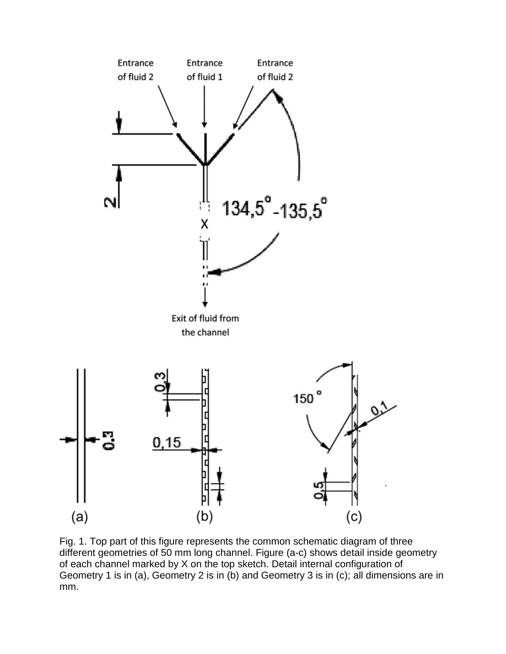

Fig. 1. Top part of this figure represents the common schematic diagram of three different geometries of 50 mm long channel. Figure (a-c) shows detail inside geometry of each channel marked by X on the top sketch. Detail internal configuration of Geometry 1 is in (a), Geometry 2 is in (b) and Geometry 3 is in (c); all dimensions are in mm.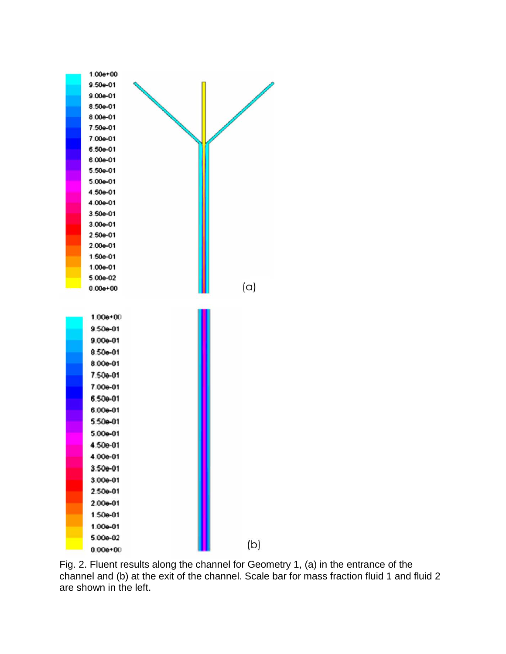

Fig. 2. Fluent results along the channel for Geometry 1, (a) in the entrance of the channel and (b) at the exit of the channel. Scale bar for mass fraction fluid 1 and fluid 2 are shown in the left.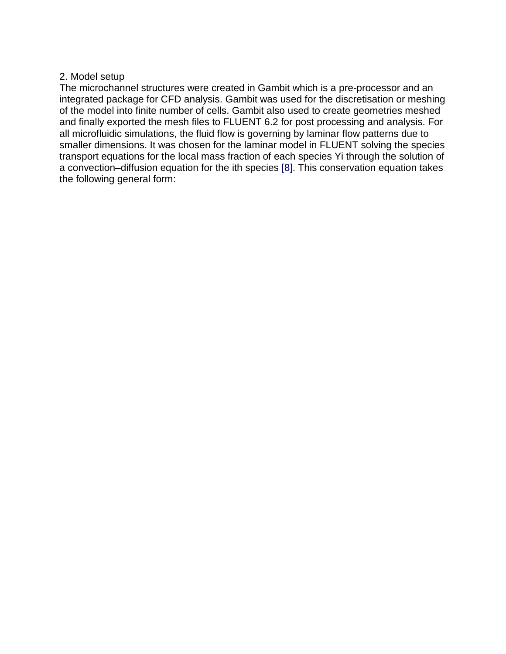#### 2. Model setup

The microchannel structures were created in Gambit which is a pre-processor and an integrated package for CFD analysis. Gambit was used for the discretisation or meshing of the model into finite number of cells. Gambit also used to create geometries meshed and finally exported the mesh files to FLUENT 6.2 for post processing and analysis. For all microfluidic simulations, the fluid flow is governing by laminar flow patterns due to smaller dimensions. It was chosen for the laminar model in FLUENT solving the species transport equations for the local mass fraction of each species Yi through the solution of a convection–diffusion equation for the ith species [8]. This conservation equation takes the following general form: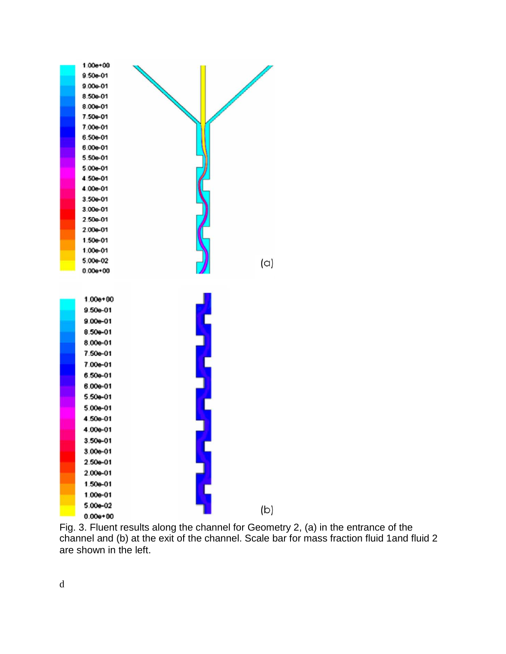

Fig. 3. Fluent results along the channel for Geometry 2, (a) in the entrance of the channel and (b) at the exit of the channel. Scale bar for mass fraction fluid 1and fluid 2 are shown in the left.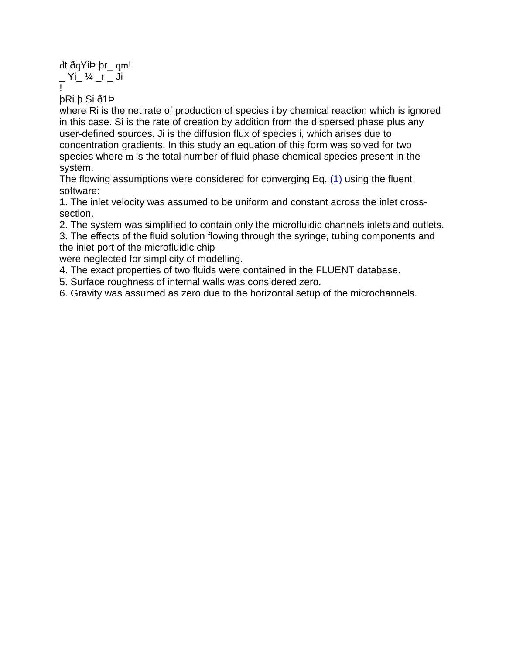dt ðqYiÞ þr\_ qm!  $Y_i' \sim \frac{1}{2}$  /  $i = 1$ !

þRi þ Si ð1Þ

where Ri is the net rate of production of species i by chemical reaction which is ignored in this case. Si is the rate of creation by addition from the dispersed phase plus any user-defined sources. Ji is the diffusion flux of species i, which arises due to concentration gradients. In this study an equation of this form was solved for two species where m is the total number of fluid phase chemical species present in the system.

The flowing assumptions were considered for converging Eq. (1) using the fluent software:

1. The inlet velocity was assumed to be uniform and constant across the inlet crosssection.

2. The system was simplified to contain only the microfluidic channels inlets and outlets.

3. The effects of the fluid solution flowing through the syringe, tubing components and the inlet port of the microfluidic chip

were neglected for simplicity of modelling.

4. The exact properties of two fluids were contained in the FLUENT database.

5. Surface roughness of internal walls was considered zero.

6. Gravity was assumed as zero due to the horizontal setup of the microchannels.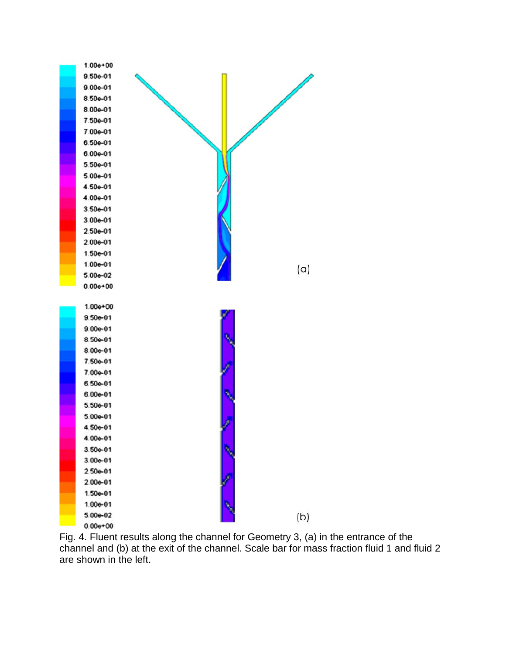

Fig. 4. Fluent results along the channel for Geometry 3, (a) in the entrance of the channel and (b) at the exit of the channel. Scale bar for mass fraction fluid 1 and fluid 2 are shown in the left.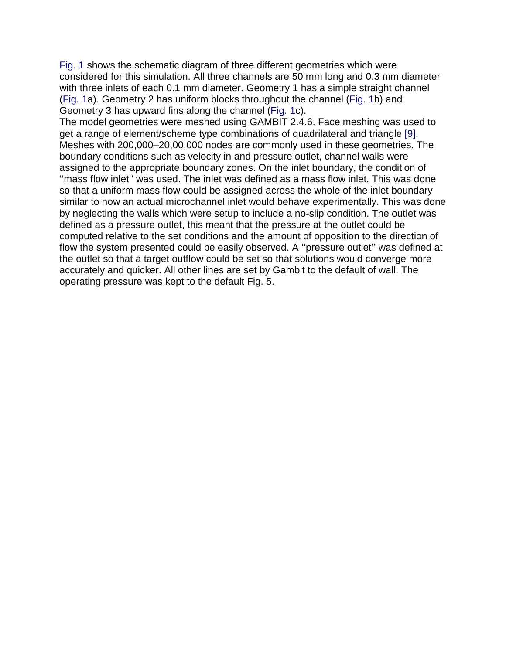Fig. 1 shows the schematic diagram of three different geometries which were considered for this simulation. All three channels are 50 mm long and 0.3 mm diameter with three inlets of each 0.1 mm diameter. Geometry 1 has a simple straight channel (Fig. 1a). Geometry 2 has uniform blocks throughout the channel (Fig. 1b) and Geometry 3 has upward fins along the channel (Fig. 1c).

The model geometries were meshed using GAMBIT 2.4.6. Face meshing was used to get a range of element/scheme type combinations of quadrilateral and triangle [9]. Meshes with 200,000–20,00,000 nodes are commonly used in these geometries. The boundary conditions such as velocity in and pressure outlet, channel walls were assigned to the appropriate boundary zones. On the inlet boundary, the condition of "mass flow inlet" was used. The inlet was defined as a mass flow inlet. This was done so that a uniform mass flow could be assigned across the whole of the inlet boundary similar to how an actual microchannel inlet would behave experimentally. This was done by neglecting the walls which were setup to include a no-slip condition. The outlet was defined as a pressure outlet, this meant that the pressure at the outlet could be computed relative to the set conditions and the amount of opposition to the direction of flow the system presented could be easily observed. A ''pressure outlet'' was defined at the outlet so that a target outflow could be set so that solutions would converge more accurately and quicker. All other lines are set by Gambit to the default of wall. The operating pressure was kept to the default Fig. 5.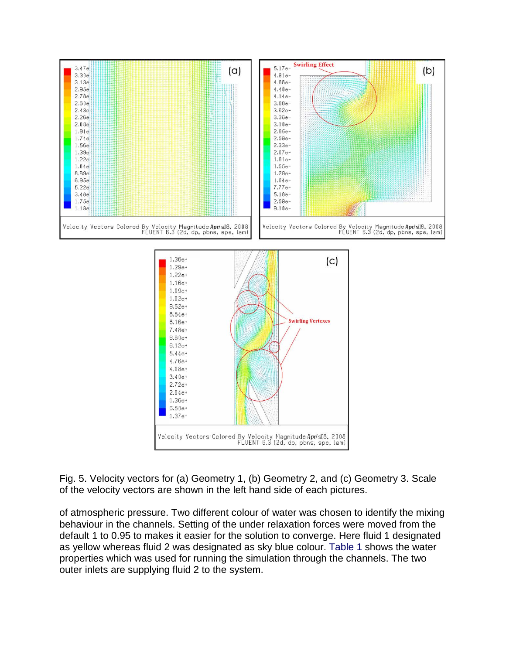

Fig. 5. Velocity vectors for (a) Geometry 1, (b) Geometry 2, and (c) Geometry 3. Scale of the velocity vectors are shown in the left hand side of each pictures.

of atmospheric pressure. Two different colour of water was chosen to identify the mixing behaviour in the channels. Setting of the under relaxation forces were moved from the default 1 to 0.95 to makes it easier for the solution to converge. Here fluid 1 designated as yellow whereas fluid 2 was designated as sky blue colour. Table 1 shows the water properties which was used for running the simulation through the channels. The two outer inlets are supplying fluid 2 to the system.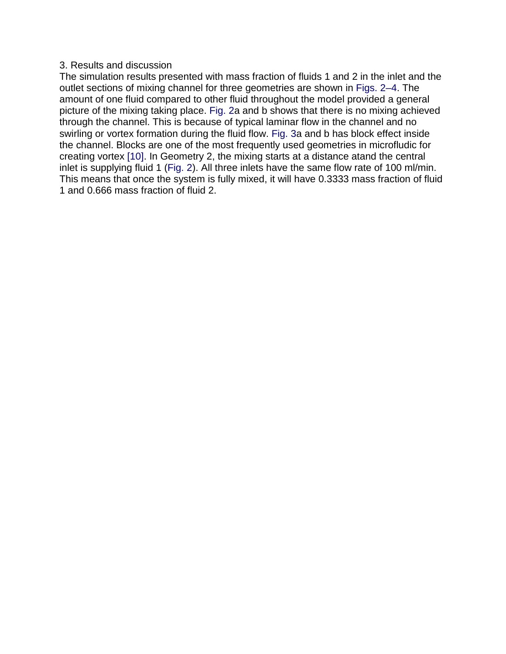#### 3. Results and discussion

The simulation results presented with mass fraction of fluids 1 and 2 in the inlet and the outlet sections of mixing channel for three geometries are shown in Figs. 2–4. The amount of one fluid compared to other fluid throughout the model provided a general picture of the mixing taking place. Fig. 2a and b shows that there is no mixing achieved through the channel. This is because of typical laminar flow in the channel and no swirling or vortex formation during the fluid flow. Fig. 3a and b has block effect inside the channel. Blocks are one of the most frequently used geometries in microfludic for creating vortex [10]. In Geometry 2, the mixing starts at a distance atand the central inlet is supplying fluid 1 (Fig. 2). All three inlets have the same flow rate of 100 ml/min. This means that once the system is fully mixed, it will have 0.3333 mass fraction of fluid 1 and 0.666 mass fraction of fluid 2.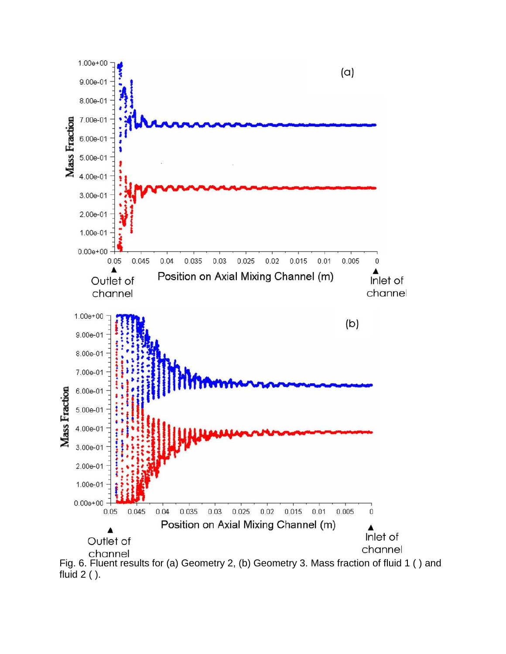

fluid 2 ( ).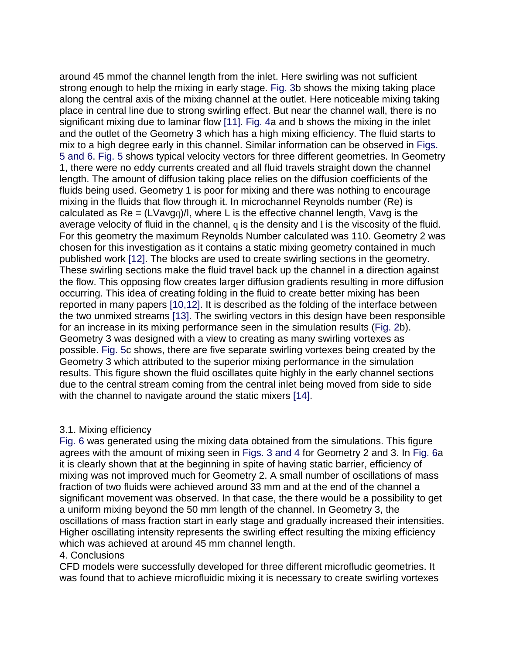around 45 mmof the channel length from the inlet. Here swirling was not sufficient strong enough to help the mixing in early stage. Fig. 3b shows the mixing taking place along the central axis of the mixing channel at the outlet. Here noticeable mixing taking place in central line due to strong swirling effect. But near the channel wall, there is no significant mixing due to laminar flow [11]. Fig. 4a and b shows the mixing in the inlet and the outlet of the Geometry 3 which has a high mixing efficiency. The fluid starts to mix to a high degree early in this channel. Similar information can be observed in Figs. 5 and 6. Fig. 5 shows typical velocity vectors for three different geometries. In Geometry 1, there were no eddy currents created and all fluid travels straight down the channel length. The amount of diffusion taking place relies on the diffusion coefficients of the fluids being used. Geometry 1 is poor for mixing and there was nothing to encourage mixing in the fluids that flow through it. In microchannel Reynolds number (Re) is calculated as  $Re = (LVavga)/l$ , where L is the effective channel length, Vavg is the average velocity of fluid in the channel, q is the density and l is the viscosity of the fluid. For this geometry the maximum Reynolds Number calculated was 110. Geometry 2 was chosen for this investigation as it contains a static mixing geometry contained in much published work [12]. The blocks are used to create swirling sections in the geometry. These swirling sections make the fluid travel back up the channel in a direction against the flow. This opposing flow creates larger diffusion gradients resulting in more diffusion occurring. This idea of creating folding in the fluid to create better mixing has been reported in many papers [10,12]. It is described as the folding of the interface between the two unmixed streams [13]. The swirling vectors in this design have been responsible for an increase in its mixing performance seen in the simulation results (Fig. 2b). Geometry 3 was designed with a view to creating as many swirling vortexes as possible. Fig. 5c shows, there are five separate swirling vortexes being created by the Geometry 3 which attributed to the superior mixing performance in the simulation results. This figure shown the fluid oscillates quite highly in the early channel sections due to the central stream coming from the central inlet being moved from side to side with the channel to navigate around the static mixers [14].

#### 3.1. Mixing efficiency

Fig. 6 was generated using the mixing data obtained from the simulations. This figure agrees with the amount of mixing seen in Figs. 3 and 4 for Geometry 2 and 3. In Fig. 6a it is clearly shown that at the beginning in spite of having static barrier, efficiency of mixing was not improved much for Geometry 2. A small number of oscillations of mass fraction of two fluids were achieved around 33 mm and at the end of the channel a significant movement was observed. In that case, the there would be a possibility to get a uniform mixing beyond the 50 mm length of the channel. In Geometry 3, the oscillations of mass fraction start in early stage and gradually increased their intensities. Higher oscillating intensity represents the swirling effect resulting the mixing efficiency which was achieved at around 45 mm channel length.

#### 4. Conclusions

CFD models were successfully developed for three different microfludic geometries. It was found that to achieve microfluidic mixing it is necessary to create swirling vortexes